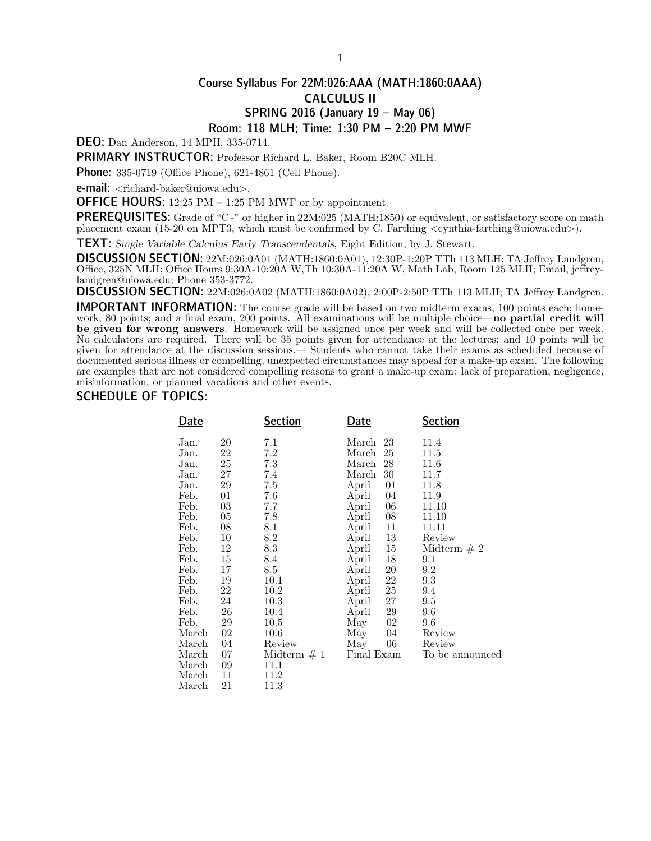# Course Syllabus For 22M:026:AAA (MATH:1860:0AAA) CALCULUS II SPRING 2016 (January 19 – May 06) Room: 118 MLH; Time: 1:30 PM – 2:20 PM MWF

DEO: Dan Anderson, 14 MPH, 335-0714.

PRIMARY INSTRUCTOR: Professor Richard L. Baker, Room B20C MLH.

**Phone:** 335-0719 (Office Phone), 621-4861 (Cell Phone).

e-mail: <richard-baker@uiowa.edu>.

**OFFICE HOURS:** 12:25 PM – 1:25 PM MWF or by appointment.

**PREREQUISITES:** Grade of "C-" or higher in 22M:025 (MATH:1850) or equivalent, or satisfactory score on math placement exam (15-20 on MPT3, which must be confirmed by C. Farthing <cynthia-farthing@uiowa.edu>).

TEXT: Single Variable Calculus Early Transcendentals, Eight Edition, by J. Stewart.

DISCUSSION SECTION: 22M:026:0A01 (MATH:1860:0A01), 12:30P-1:20P TTh 113 MLH; TA Jeffrey Landgren, Office, 325N MLH; Office Hours 9:30A-10:20A W,Th 10:30A-11:20A W, Math Lab, Room 125 MLH; Email, jeffreylandgren@uiowa.edu; Phone 353-3772.

DISCUSSION SECTION: 22M:026:0A02 (MATH:1860:0A02), 2:00P-2:50P TTh 113 MLH; TA Jeffrey Landgren.

IMPORTANT INFORMATION: The course grade will be based on two midterm exams, 100 points each; homework, 80 points; and a final exam, 200 points. All examinations will be multiple choice—no partial credit will be given for wrong answers. Homework will be assigned once per week and will be collected once per week. No calculators are required. There will be 35 points given for attendance at the lectures; and 10 points will be given for attendance at the discussion sessions.— Students who cannot take their exams as scheduled because of documented serious illness or compelling, unexpected circumstances may appeal for a make-up exam. The following are examples that are not considered compelling reasons to grant a make-up exam: lack of preparation, negligence, misinformation, or planned vacations and other events.

#### SCHEDULE OF TOPICS:

| Date  |    | Section       | Date            | Section         |
|-------|----|---------------|-----------------|-----------------|
| Jan.  | 20 | 7.1           | 23<br>March     | 11.4            |
| Jan.  | 22 | 7.2           | 25<br>March     | 11.5            |
| Jan.  | 25 | 7.3           | 28<br>March     | 11.6            |
| Jan.  | 27 | 7.4           | 30<br>March     | 11.7            |
| Jan.  | 29 | $7.5\,$       | 01<br>April     | 11.8            |
| Feb.  | 01 | 7.6           | 04<br>April     | 11.9            |
| Feb.  | 03 | 7.7           | 06<br>April     | 11.10           |
| Feb.  | 05 | 7.8           | 08<br>April     | 11.10           |
| Feb.  | 08 | $8.1\,$       | 11<br>April     | 11.11           |
| Feb.  | 10 | 8.2           | 13<br>April     | Review          |
| Feb.  | 12 | 8.3           | $15\,$<br>April | Midterm $# 2$   |
| Feb.  | 15 | 8.4           | 18<br>April     | $9.1\,$         |
| Feb.  | 17 | 8.5           | 20<br>April     | 9.2             |
| Feb.  | 19 | 10.1          | 22<br>April     | 9.3             |
| Feb.  | 22 | 10.2          | 25<br>April     | 9.4             |
| Feb.  | 24 | 10.3          | 27<br>April     | 9.5             |
| Feb.  | 26 | 10.4          | 29<br>April     | 9.6             |
| Feb.  | 29 | 10.5          | 02<br>May       | 9.6             |
| March | 02 | 10.6          | 04<br>May       | Review          |
| March | 04 | Review        | 06<br>May       | Review          |
| March | 07 | Midterm $# 1$ | Final Exam      | To be announced |
| March | 09 | 11.1          |                 |                 |
| March | 11 | 11.2          |                 |                 |
| March | 21 | 11.3          |                 |                 |
|       |    |               |                 |                 |